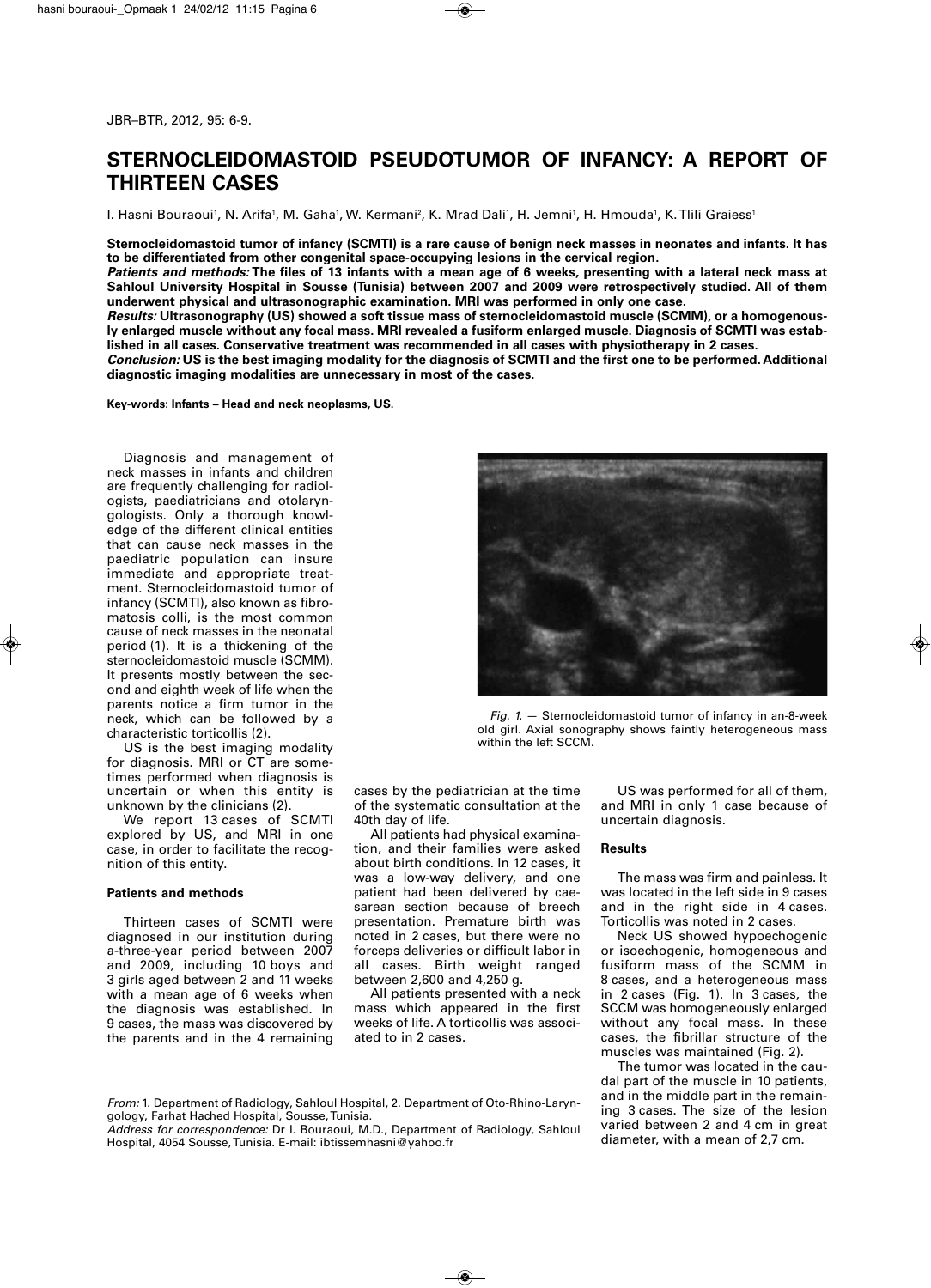# **STERNOCLEIDOMASTOID PSEUDOTUMOR OF INFANCY: A REPORT OF THIRTEEN CASES**

l. Hasni Bouraoui', N. Arifa', M. Gaha', W. Kermani², K. Mrad Dali', H. Jemni', H. Hmouda', K. Tlili Graiess'

**Sternocleidomastoid tumor of infancy (SCMTI) is a rare cause of benign neck masses in neonates and infants. It has to be differentiated from other congenital space-occupying lesions in the cervical region.** 

*Patients and methods:* **The files of 13 infants with a mean age of 6 weeks, presenting with a lateral neck mass at Sahloul University Hospital in Sousse (Tunisia) between 2007 and 2009 were retrospectively studied. All of them underwent physical and ultrasonographic examination. MRI was performed in only one case.**

*Results:* **Ultrasonography (US) showed a soft tissue mass of sternocleidomastoid muscle (SCMM), or a homogenously enlarged muscle without any focal mass. MRI revealed a fusiform enlarged muscle. Diagnosis of SCMTI was established in all cases. Conservative treatment was recommended in all cases with physiotherapy in 2 cases.** 

*Conclusion:* **US is the best imaging modality for the diagnosis of SCMTI and the first one to be performed. Additional diagnostic imaging modalities are unnecessary in most of the cases.**

**Key-words: Infants – Head and neck neoplasms, US.**

Diagnosis and management of neck masses in infants and children are frequently challenging for radiologists, paediatricians and otolaryngologists. Only a thorough knowledge of the different clinical entities that can cause neck masses in the paediatric population can insure immediate and appropriate treatment. Sternocleidomastoid tumor of infancy (SCMTI), also known as fibromatosis colli, is the most common cause of neck masses in the neonatal period (1). It is a thickening of the sternocleidomastoid muscle (SCMM). It presents mostly between the second and eighth week of life when the parents notice a firm tumor in the neck, which can be followed by a characteristic torticollis (2).

US is the best imaging modality for diagnosis. MRI or CT are sometimes performed when diagnosis is uncertain or when this entity is unknown by the clinicians (2).

We report 13 cases of SCMTI explored by US, and MRI in one case, in order to facilitate the recognition of this entity.

## **Patients and methods**

Thirteen cases of SCMTI were diagnosed in our institution during a-three-year period between 2007 and 2009, including 10 boys and 3 girls aged between 2 and 11 weeks with a mean age of 6 weeks when the diagnosis was established. In 9 cases, the mass was discovered by the parents and in the 4 remaining



*Fig. 1.* — Sternocleidomastoid tumor of infancy in an-8-week old girl. Axial sonography shows faintly heterogeneous mass within the left SCCM.

cases by the pediatrician at the time of the systematic consultation at the 40th day of life.

All patients had physical examination, and their families were asked about birth conditions. In 12 cases, it was a low-way delivery, and one patient had been delivered by caesarean section because of breech presentation. Premature birth was noted in 2 cases, but there were no forceps deliveries or difficult labor in all cases. Birth weight ranged between 2,600 and 4,250 g.

All patients presented with a neck mass which appeared in the first weeks of life. A torticollis was associated to in 2 cases.

*From:* 1. Department of Radiology, Sahloul Hospital, 2. Department of Oto-Rhino-Laryn gology, Farhat Hached Hospital, Sousse, Tunisia.

*Address for correspondence:* Dr I. Bouraoui, M.D., Department of Radiology, Sahloul Hospital, 4054 Sousse, Tunisia. E-mail: ibtissemhasni@yahoo.fr

US was performed for all of them, and MRI in only 1 case because of uncertain diagnosis.

#### **Results**

The mass was firm and painless. It was located in the left side in 9 cases and in the right side in 4 cases. Torticollis was noted in 2 cases.

Neck US showed hypoechogenic or isoechogenic, homogeneous and fusiform mass of the SCMM in 8 cases, and a heterogeneous mass in 2 cases (Fig. 1). In 3 cases, the SCCM was homogeneously enlarged without any focal mass. In these cases, the fibrillar structure of the muscles was maintained (Fig. 2).

The tumor was located in the caudal part of the muscle in 10 patients, and in the middle part in the remaining 3 cases. The size of the lesion varied between 2 and 4 cm in great diameter, with a mean of 2,7 cm.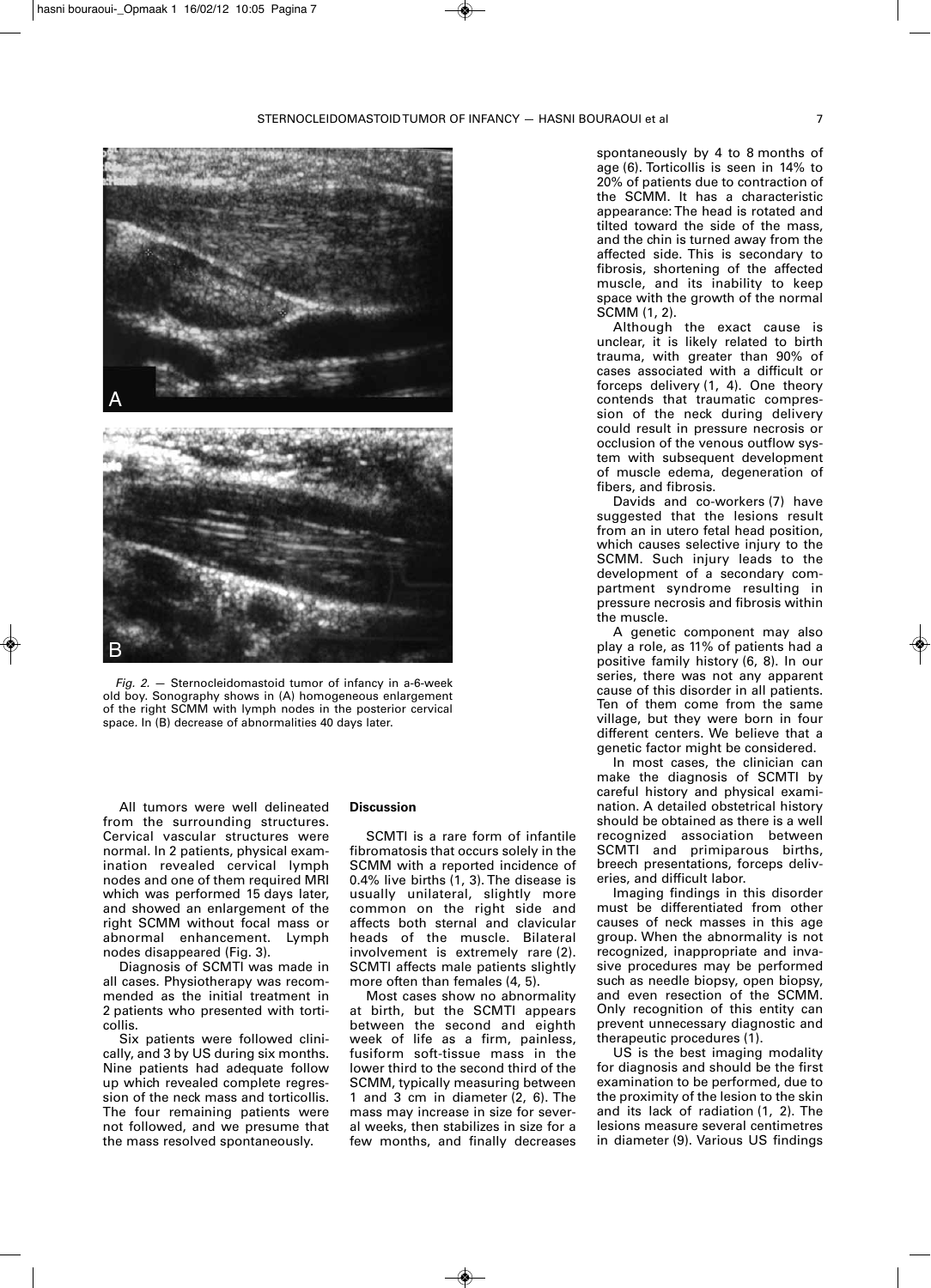

*Fig. 2.* — Sternocleidomastoid tumor of infancy in a-6-week old boy. Sonography shows in (A) homogeneous enlargement of the right SCMM with lymph nodes in the posterior cervical space*.* In (B) decrease of abnormalities 40 days later.

All tumors were well delineated from the surrounding structures. Cervical vascular structures were normal. In 2 patients, physical examination revealed cervical lymph nodes and one of them required MRI which was performed 15 days later, and showed an enlargement of the right SCMM without focal mass or abnormal enhancement. Lymph nodes disappeared (Fig. 3).

Diagnosis of SCMTI was made in all cases. Physiotherapy was recommended as the initial treatment in 2 patients who presented with torticollis.

Six patients were followed clinically, and 3 by US during six months. Nine patients had adequate follow up which revealed complete regression of the neck mass and torticollis. The four remaining patients were not followed, and we presume that the mass resolved spontaneously.

### **Discussion**

SCMTI is a rare form of infantile fibromatosis that occurs solely in the SCMM with a reported incidence of 0.4% live births (1, 3). The disease is usually unilateral, slightly more common on the right side and affects both sternal and clavicular heads of the muscle. Bilateral involvement is extremely rare (2). SCMTI affects male patients slightly more often than females (4, 5).

Most cases show no abnormality at birth, but the SCMTI appears between the second and eighth week of life as a firm, painless, fusiform soft-tissue mass in the lower third to the second third of the SCMM, typically measuring between 1 and 3 cm in diameter (2, 6). The mass may increase in size for several weeks, then stabilizes in size for a few months, and finally decreases spontaneously by 4 to 8 months of age (6). Torticollis is seen in 14% to 20% of patients due to contraction of the SCMM. It has a characteristic appearance: The head is rotated and tilted toward the side of the mass, and the chin is turned away from the affected side. This is secondary to fibrosis, shortening of the affected muscle, and its inability to keep space with the growth of the normal SCMM (1, 2).

Although the exact cause is unclear, it is likely related to birth trauma, with greater than 90% of cases associated with a difficult or forceps delivery (1, 4). One theory contends that traumatic compression of the neck during delivery could result in pressure necrosis or occlusion of the venous outflow system with subsequent development of muscle edema, degeneration of fibers, and fibrosis.

Davids and co-workers (7) have suggested that the lesions result from an in utero fetal head position, which causes selective injury to the SCMM. Such injury leads to the development of a secondary compartment syndrome resulting in pressure necrosis and fibrosis within the muscle.

A genetic component may also play a role, as 11% of patients had a positive family history (6, 8). In our series, there was not any apparent cause of this disorder in all patients. Ten of them come from the same village, but they were born in four different centers. We believe that a genetic factor might be considered.

In most cases, the clinician can make the diagnosis of SCMTI by careful history and physical examination. A detailed obstetrical history should be obtained as there is a well recognized association between SCMTI and primiparous births, breech presentations, forceps deliveries, and difficult labor.

Imaging findings in this disorder must be differentiated from other causes of neck masses in this age group. When the abnormality is not recognized, inappropriate and invasive procedures may be performed such as needle biopsy, open biopsy, and even resection of the SCMM. Only recognition of this entity can prevent unnecessary diagnostic and therapeutic procedures (1).

US is the best imaging modality for diagnosis and should be the first examination to be performed, due to the proximity of the lesion to the skin and its lack of radiation (1, 2). The lesions measure several centimetres in diameter (9). Various US findings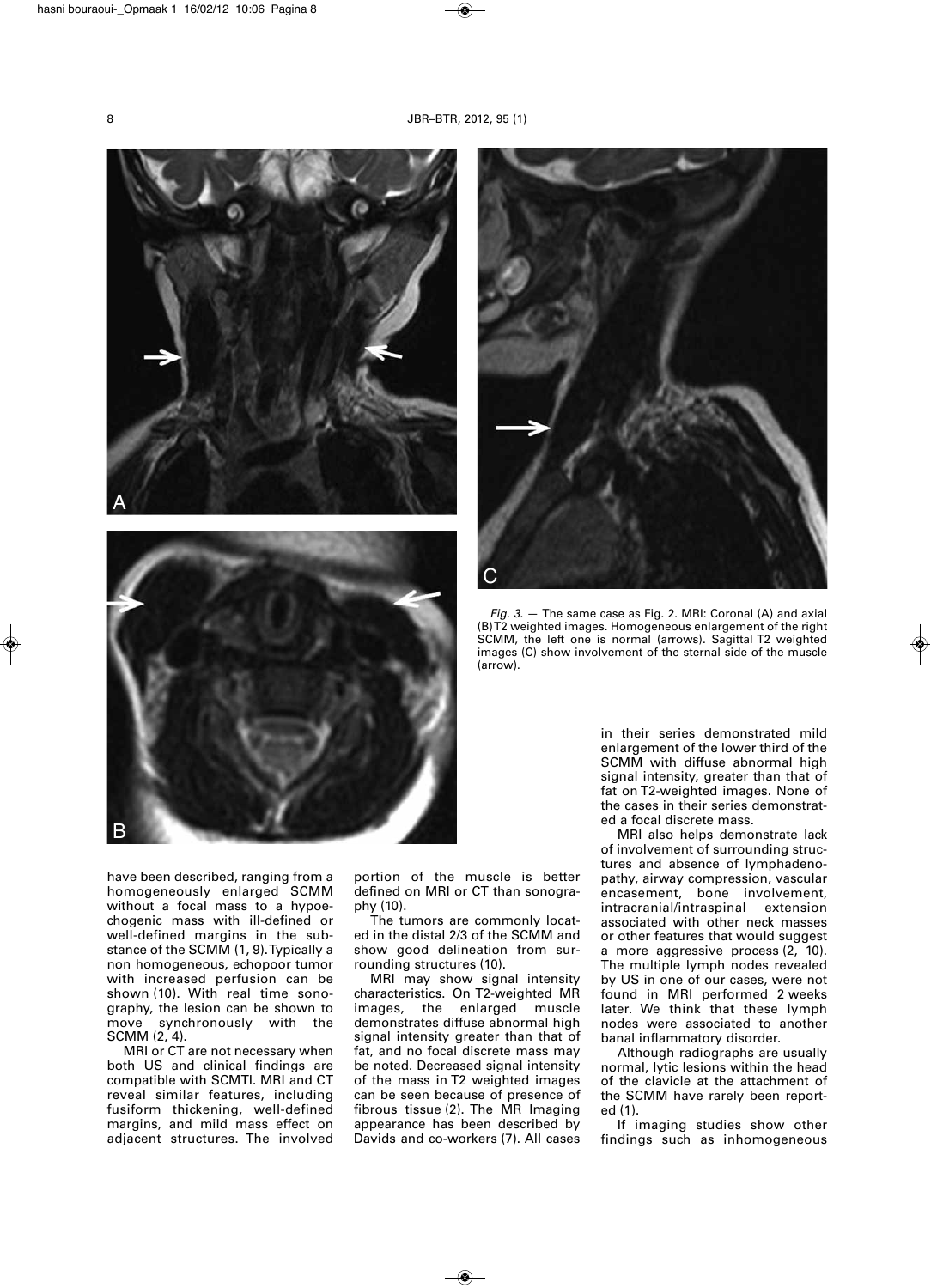



have been described, ranging from a homogeneously enlarged SCMM without a focal mass to a hypoechogenic mass with ill-defined or well-defined margins in the substance of the SCMM (1, 9).Typically a non homogeneous, echopoor tumor with increased perfusion can be shown (10). With real time sonography, the lesion can be shown to move synchronously with the SCMM (2, 4).

MRI or CT are not necessary when both US and clinical findings are compatible with SCMTI. MRI and CT reveal similar features, including fusiform thickening, well-defined margins, and mild mass effect on adjacent structures. The involved portion of the muscle is better defined on MRI or CT than sonography (10).

The tumors are commonly located in the distal 2/3 of the SCMM and show good delineation from surrounding structures (10).

MRI may show signal intensity characteristics. On T2-weighted MR images, the enlarged muscle demonstrates diffuse abnormal high signal intensity greater than that of fat, and no focal discrete mass may be noted. Decreased signal intensity of the mass in T2 weighted images can be seen because of presence of fibrous tissue (2). The MR Imaging appearance has been described by Davids and co-workers (7). All cases



*Fig. 3.* — The same case as Fig. 2. MRI: Coronal (A) and axial (B)T2 weighted images. Homogeneous enlargement of the right SCMM, the left one is normal (arrows). Sagittal T2 weighted images (C) show involvement of the sternal side of the muscle (arrow).

in their series demonstrated mild enlargement of the lower third of the SCMM with diffuse abnormal high signal intensity, greater than that of fat on T2-weighted images. None of the cases in their series demonstrated a focal discrete mass.

MRI also helps demonstrate lack of involvement of surrounding structures and absence of lymphadenopathy, airway compression, vascular encasement, bone involvement, intracranial/intraspinal extension associated with other neck masses or other features that would suggest a more aggressive process (2, 10). The multiple lymph nodes revealed by US in one of our cases, were not found in MRI performed 2 weeks later. We think that these lymph nodes were associated to another banal inflammatory disorder.

Although radiographs are usually normal, lytic lesions within the head of the clavicle at the attachment of the SCMM have rarely been reported (1).

If imaging studies show other findings such as inhomogeneous